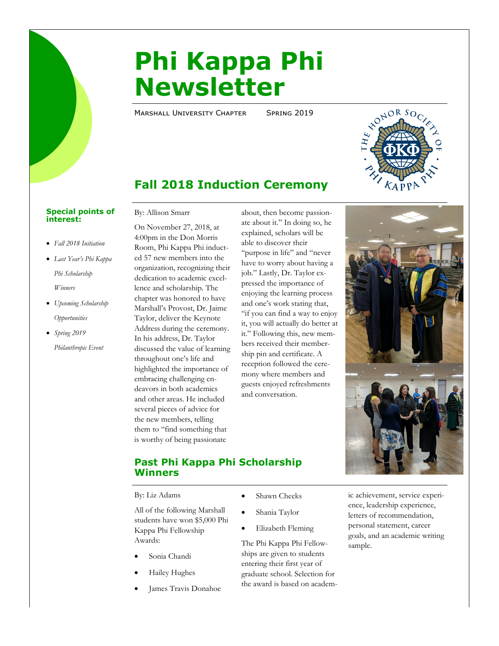# **Phi Kappa Phi Newsletter**

MARSHALL UNIVERSITY CHAPTER SPRING 2019



## **Fall 2018 Induction Ceremony**

#### **Special points of interest:**

- *Fall 2018 Initiation*
- *Last Year's Phi Kappa Phi Scholarship Winners*
- *Upcoming Scholarship Opportunities*
- *Spring 2019*

*Philanthropic Event*

By: Allison Smarr

On November 27, 2018, at 4:00pm in the Don Morris Room, Phi Kappa Phi inducted 57 new members into the organization, recognizing their dedication to academic excellence and scholarship. The chapter was honored to have Marshall's Provost, Dr. Jaime Taylor, deliver the Keynote Address during the ceremony. In his address, Dr. Taylor discussed the value of learning throughout one's life and highlighted the importance of embracing challenging endeavors in both academics and other areas. He included several pieces of advice for the new members, telling them to "find something that is worthy of being passionate

about, then become passionate about it." In doing so, he explained, scholars will be able to discover their "purpose in life" and "never have to worry about having a job." Lastly, Dr. Taylor expressed the importance of enjoying the learning process and one's work stating that, "if you can find a way to enjoy it, you will actually do better at it." Following this, new members received their membership pin and certificate. A reception followed the ceremony where members and guests enjoyed refreshments and conversation.



By: Liz Adams

All of the following Marshall students have won \$5,000 Phi Kappa Phi Fellowship Awards:

- Sonia Chandi
- Hailey Hughes
- James Travis Donahoe
- Shawn Cheeks
- Shania Taylor
- Elizabeth Fleming

The Phi Kappa Phi Fellowships are given to students entering their first year of graduate school. Selection for the award is based on academic achievement, service experience, leadership experience, letters of recommendation, personal statement, career goals, and an academic writing sample.